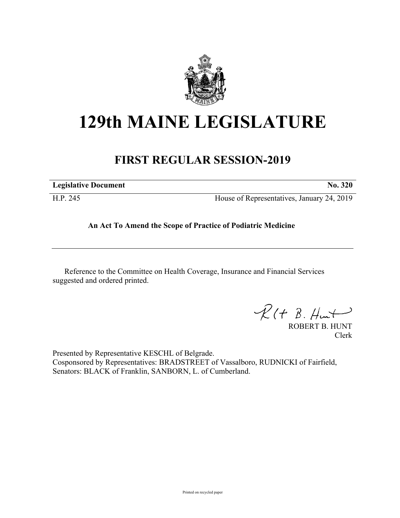

## **129th MAINE LEGISLATURE**

## **FIRST REGULAR SESSION-2019**

| <b>Legislative Document</b> |  |
|-----------------------------|--|

H.P. 245 House of Representatives, January 24, 2019

## **An Act To Amend the Scope of Practice of Podiatric Medicine**

Reference to the Committee on Health Coverage, Insurance and Financial Services suggested and ordered printed.

 $R(t B. Hmt)$ 

ROBERT B. HUNT Clerk

Presented by Representative KESCHL of Belgrade. Cosponsored by Representatives: BRADSTREET of Vassalboro, RUDNICKI of Fairfield, Senators: BLACK of Franklin, SANBORN, L. of Cumberland.